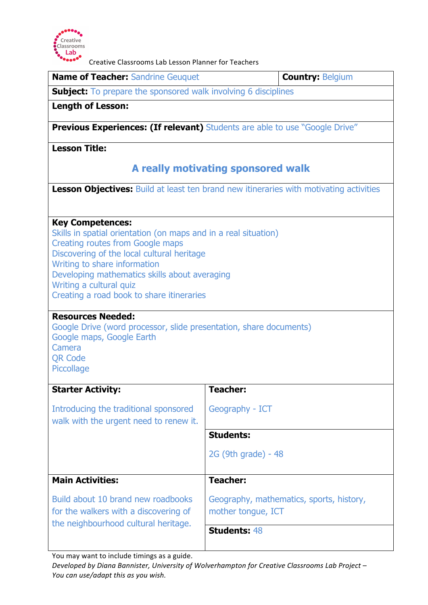

Creative Classrooms Lab Lesson Planner for Teachers

| <b>Name of Teacher: Sandrine Geuquet</b>                                                                                                                                                                                                                                                                                                                                                                                                                                                                |                                                                | <b>Country: Belgium</b> |
|---------------------------------------------------------------------------------------------------------------------------------------------------------------------------------------------------------------------------------------------------------------------------------------------------------------------------------------------------------------------------------------------------------------------------------------------------------------------------------------------------------|----------------------------------------------------------------|-------------------------|
|                                                                                                                                                                                                                                                                                                                                                                                                                                                                                                         |                                                                |                         |
| <b>Subject:</b> To prepare the sponsored walk involving 6 disciplines                                                                                                                                                                                                                                                                                                                                                                                                                                   |                                                                |                         |
| <b>Length of Lesson:</b>                                                                                                                                                                                                                                                                                                                                                                                                                                                                                |                                                                |                         |
| <b>Previous Experiences: (If relevant)</b> Students are able to use "Google Drive"                                                                                                                                                                                                                                                                                                                                                                                                                      |                                                                |                         |
| <b>Lesson Title:</b>                                                                                                                                                                                                                                                                                                                                                                                                                                                                                    |                                                                |                         |
| A really motivating sponsored walk                                                                                                                                                                                                                                                                                                                                                                                                                                                                      |                                                                |                         |
| Lesson Objectives: Build at least ten brand new itineraries with motivating activities                                                                                                                                                                                                                                                                                                                                                                                                                  |                                                                |                         |
| <b>Key Competences:</b><br>Skills in spatial orientation (on maps and in a real situation)<br><b>Creating routes from Google maps</b><br>Discovering of the local cultural heritage<br>Writing to share information<br>Developing mathematics skills about averaging<br>Writing a cultural quiz<br>Creating a road book to share itineraries<br><b>Resources Needed:</b><br>Google Drive (word processor, slide presentation, share documents)<br>Google maps, Google Earth<br>Camera<br><b>QR Code</b> |                                                                |                         |
| Piccollage                                                                                                                                                                                                                                                                                                                                                                                                                                                                                              |                                                                |                         |
| <b>Starter Activity:</b>                                                                                                                                                                                                                                                                                                                                                                                                                                                                                | <b>Teacher:</b>                                                |                         |
| Introducing the traditional sponsored<br>walk with the urgent need to renew it.                                                                                                                                                                                                                                                                                                                                                                                                                         | Geography - ICT                                                |                         |
|                                                                                                                                                                                                                                                                                                                                                                                                                                                                                                         | <b>Students:</b>                                               |                         |
|                                                                                                                                                                                                                                                                                                                                                                                                                                                                                                         | 2G (9th grade) - 48                                            |                         |
| <b>Main Activities:</b>                                                                                                                                                                                                                                                                                                                                                                                                                                                                                 | <b>Teacher:</b>                                                |                         |
| Build about 10 brand new roadbooks<br>for the walkers with a discovering of<br>the neighbourhood cultural heritage.                                                                                                                                                                                                                                                                                                                                                                                     | Geography, mathematics, sports, history,<br>mother tongue, ICT |                         |
|                                                                                                                                                                                                                                                                                                                                                                                                                                                                                                         | <b>Students: 48</b>                                            |                         |

You may want to include timings as a guide.

Developed by Diana Bannister, University of Wolverhampton for Creative Classrooms Lab Project -You can use/adapt this as you wish.